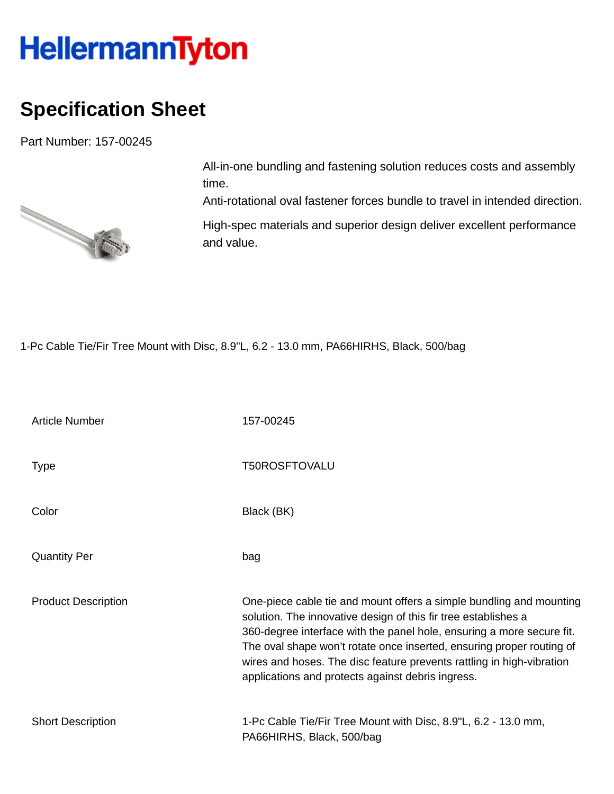## HellermannTyton

## **Specification Sheet**

Part Number: 157-00245



All-in-one bundling and fastening solution reduces costs and assembly time.

Anti-rotational oval fastener forces bundle to travel in intended direction.

High-spec materials and superior design deliver excellent performance and value.

1-Pc Cable Tie/Fir Tree Mount with Disc, 8.9"L, 6.2 - 13.0 mm, PA66HIRHS, Black, 500/bag

| <b>Article Number</b>      | 157-00245                                                                                                                                                                                                                                                                                                                                                                                                             |
|----------------------------|-----------------------------------------------------------------------------------------------------------------------------------------------------------------------------------------------------------------------------------------------------------------------------------------------------------------------------------------------------------------------------------------------------------------------|
| Type                       | <b>T50ROSFTOVALU</b>                                                                                                                                                                                                                                                                                                                                                                                                  |
| Color                      | Black (BK)                                                                                                                                                                                                                                                                                                                                                                                                            |
| <b>Quantity Per</b>        | bag                                                                                                                                                                                                                                                                                                                                                                                                                   |
| <b>Product Description</b> | One-piece cable tie and mount offers a simple bundling and mounting<br>solution. The innovative design of this fir tree establishes a<br>360-degree interface with the panel hole, ensuring a more secure fit.<br>The oval shape won't rotate once inserted, ensuring proper routing of<br>wires and hoses. The disc feature prevents rattling in high-vibration<br>applications and protects against debris ingress. |
| <b>Short Description</b>   | 1-Pc Cable Tie/Fir Tree Mount with Disc, 8.9"L, 6.2 - 13.0 mm,<br>PA66HIRHS, Black, 500/bag                                                                                                                                                                                                                                                                                                                           |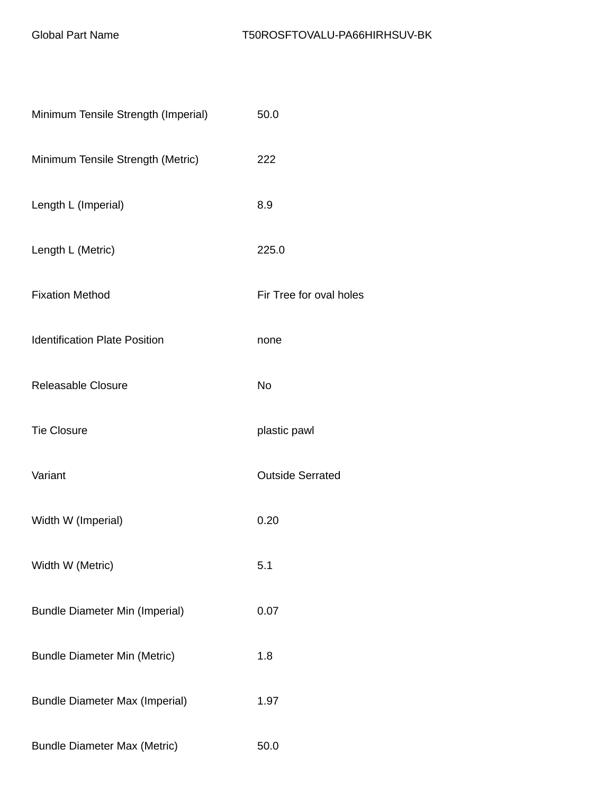| Minimum Tensile Strength (Imperial)   | 50.0                    |
|---------------------------------------|-------------------------|
| Minimum Tensile Strength (Metric)     | 222                     |
| Length L (Imperial)                   | 8.9                     |
| Length L (Metric)                     | 225.0                   |
| <b>Fixation Method</b>                | Fir Tree for oval holes |
| <b>Identification Plate Position</b>  | none                    |
| Releasable Closure                    | No                      |
| <b>Tie Closure</b>                    | plastic pawl            |
| Variant                               | <b>Outside Serrated</b> |
| Width W (Imperial)                    | 0.20                    |
| Width W (Metric)                      | 5.1                     |
| <b>Bundle Diameter Min (Imperial)</b> | 0.07                    |
| <b>Bundle Diameter Min (Metric)</b>   | 1.8                     |
| <b>Bundle Diameter Max (Imperial)</b> | 1.97                    |
| <b>Bundle Diameter Max (Metric)</b>   | 50.0                    |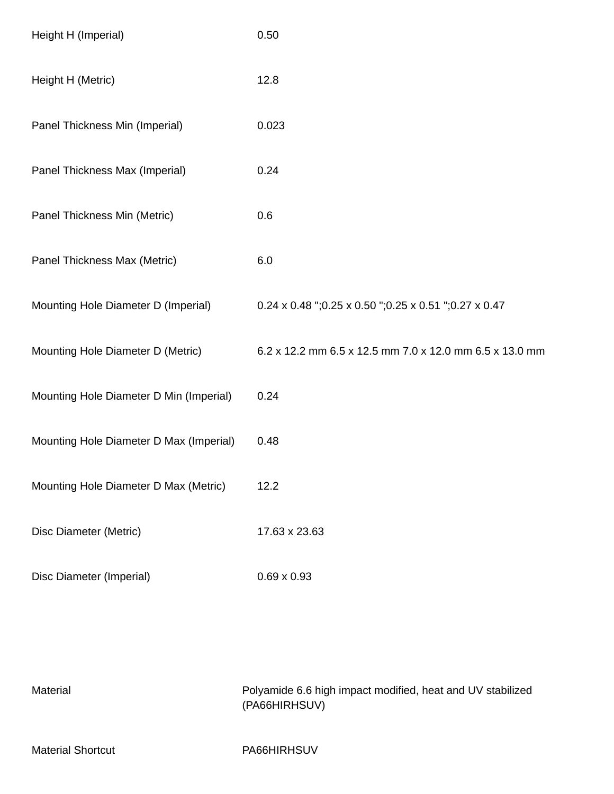| Height H (Imperial)                     | 0.50                                                     |
|-----------------------------------------|----------------------------------------------------------|
| Height H (Metric)                       | 12.8                                                     |
| Panel Thickness Min (Imperial)          | 0.023                                                    |
| Panel Thickness Max (Imperial)          | 0.24                                                     |
| Panel Thickness Min (Metric)            | 0.6                                                      |
| Panel Thickness Max (Metric)            | 6.0                                                      |
| Mounting Hole Diameter D (Imperial)     | 0.24 x 0.48 "; 0.25 x 0.50 "; 0.25 x 0.51 "; 0.27 x 0.47 |
| Mounting Hole Diameter D (Metric)       | 6.2 x 12.2 mm 6.5 x 12.5 mm 7.0 x 12.0 mm 6.5 x 13.0 mm  |
| Mounting Hole Diameter D Min (Imperial) | 0.24                                                     |
| Mounting Hole Diameter D Max (Imperial) | 0.48                                                     |
| Mounting Hole Diameter D Max (Metric)   | 12.2                                                     |
| Disc Diameter (Metric)                  | 17.63 x 23.63                                            |
| Disc Diameter (Imperial)                | $0.69 \times 0.93$                                       |

| Material                 | Polyamide 6.6 high impact modified, heat and UV stabilized<br>(PA66HIRHSUV) |
|--------------------------|-----------------------------------------------------------------------------|
| <b>Material Shortcut</b> | PA66HIRHSUV                                                                 |